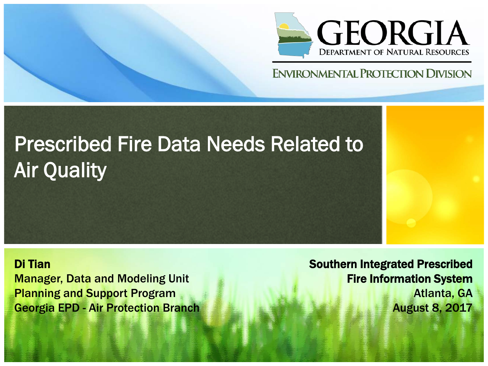

#### **ENVIRONMENTAL PROTECTION DIVISION**

## Prescribed Fire Data Needs Related to Air Quality

Di Tian Manager, Data and Modeling Unit Planning and Support Program Georgia EPD - Air Protection Branch

Southern Integrated Prescribed Fire Information System Atlanta, GA August 8, 2017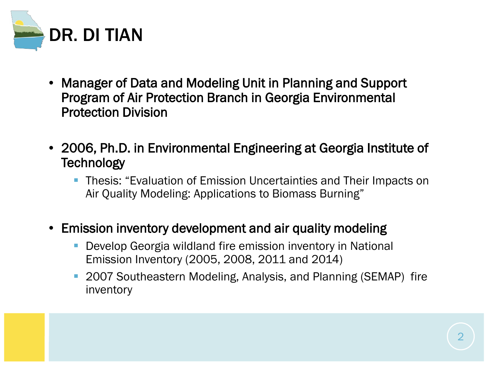

- Manager of Data and Modeling Unit in Planning and Support Program of Air Protection Branch in Georgia Environmental Protection Division
- 2006, Ph.D. in Environmental Engineering at Georgia Institute of **Technology** 
	- Thesis: "Evaluation of Emission Uncertainties and Their Impacts on Air Quality Modeling: Applications to Biomass Burning"
- Emission inventory development and air quality modeling
	- Develop Georgia wildland fire emission inventory in National Emission Inventory (2005, 2008, 2011 and 2014)
	- 2007 Southeastern Modeling, Analysis, and Planning (SEMAP) fire inventory

2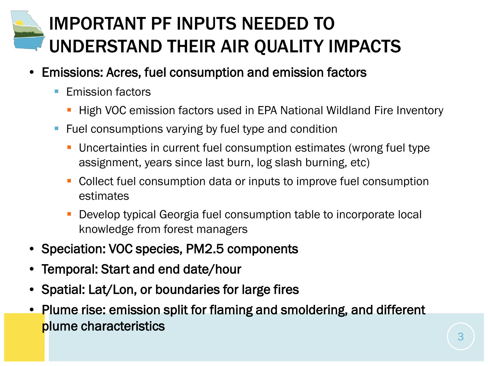### IMPORTANT PF INPUTS NEEDED TO UNDERSTAND THEIR AIR QUALITY IMPACTS

- Emissions: Acres, fuel consumption and emission factors
	- **Emission factors** 
		- High VOC emission factors used in EPA National Wildland Fire Inventory
	- Fuel consumptions varying by fuel type and condition
		- Uncertainties in current fuel consumption estimates (wrong fuel type assignment, years since last burn, log slash burning, etc)
		- Collect fuel consumption data or inputs to improve fuel consumption estimates
		- Develop typical Georgia fuel consumption table to incorporate local knowledge from forest managers
- Speciation: VOC species, PM2.5 components
- Temporal: Start and end date/hour
- Spatial: Lat/Lon, or boundaries for large fires
- Plume rise: emission split for flaming and smoldering, and different plume characteristics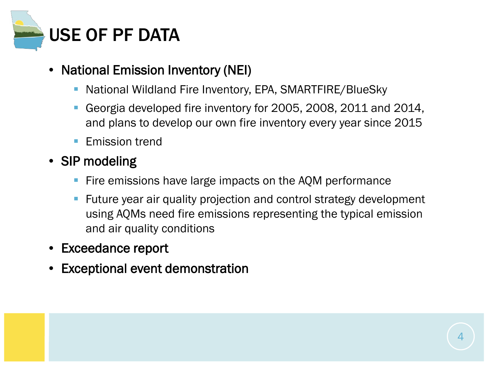

#### • National Emission Inventory (NEI)

- National Wildland Fire Inventory, EPA, SMARTFIRE/BlueSky
- Georgia developed fire inventory for 2005, 2008, 2011 and 2014, and plans to develop our own fire inventory every year since 2015
- **Emission trend**

#### • SIP modeling

- Fire emissions have large impacts on the AQM performance
- **F** Future year air quality projection and control strategy development using AQMs need fire emissions representing the typical emission and air quality conditions
- Exceedance report
- Exceptional event demonstration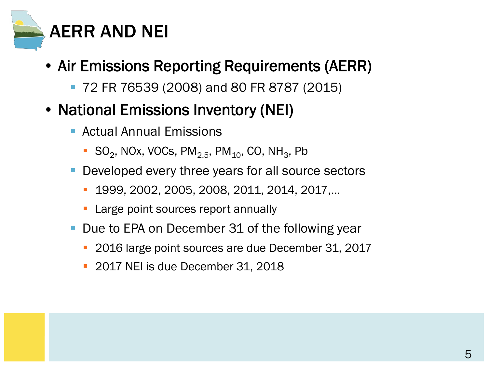

- Air Emissions Reporting Requirements (AERR)
	- 72 FR 76539 (2008) and 80 FR 8787 (2015)
- National Emissions Inventory (NEI)
	- Actual Annual Emissions
		- SO<sub>2</sub>, NOx, VOCs, PM<sub>2.5</sub>, PM<sub>10</sub>, CO, NH<sub>3</sub>, Pb
	- Developed every three years for all source sectors
		- 1999, 2002, 2005, 2008, 2011, 2014, 2017,…
		- **Large point sources report annually**
	- Due to EPA on December 31 of the following year
		- 2016 large point sources are due December 31, 2017
		- 2017 NEI is due December 31, 2018

5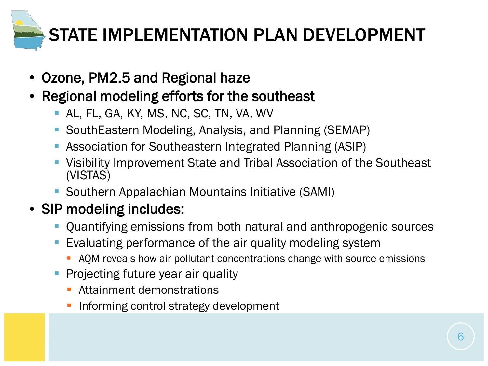

- Ozone, PM2.5 and Regional haze
- Regional modeling efforts for the southeast
	- AL, FL, GA, KY, MS, NC, SC, TN, VA, WV
	- SouthEastern Modeling, Analysis, and Planning (SEMAP)
	- Association for Southeastern Integrated Planning (ASIP)
	- Visibility Improvement State and Tribal Association of the Southeast (VISTAS)
	- Southern Appalachian Mountains Initiative (SAMI)

### • SIP modeling includes:

- Quantifying emissions from both natural and anthropogenic sources
- Evaluating performance of the air quality modeling system
	- **AQM** reveals how air pollutant concentrations change with source emissions
- Projecting future year air quality
	- Attainment demonstrations
	- Informing control strategy development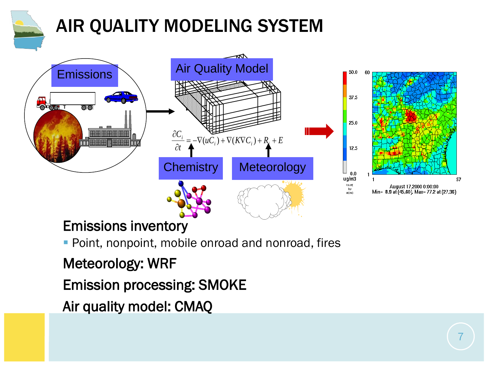

### AIR QUALITY MODELING SYSTEM



#### Emissions inventory

**Point, nonpoint, mobile onroad and nonroad, fires** 

#### Meteorology: WRF

Emission processing: SMOKE

Air quality model: CMAQ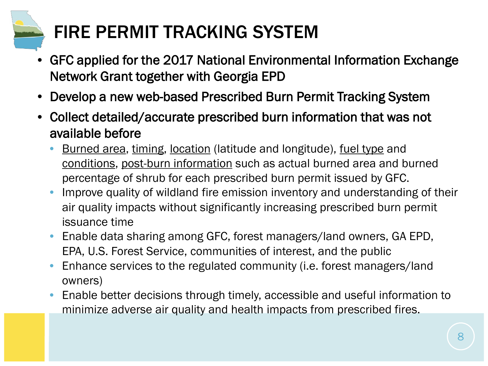## FIRE PERMIT TRACKING SYSTEM

- GFC applied for the 2017 National Environmental Information Exchange Network Grant together with Georgia EPD
- Develop a new web-based Prescribed Burn Permit Tracking System
- Collect detailed/accurate prescribed burn information that was not available before
	- Burned area, timing, location (latitude and longitude), fuel type and conditions, post-burn information such as actual burned area and burned percentage of shrub for each prescribed burn permit issued by GFC.
	- Improve quality of wildland fire emission inventory and understanding of their air quality impacts without significantly increasing prescribed burn permit issuance time
	- Enable data sharing among GFC, forest managers/land owners, GA EPD, EPA, U.S. Forest Service, communities of interest, and the public
	- Enhance services to the regulated community (i.e. forest managers/land owners)
	- Enable better decisions through timely, accessible and useful information to minimize adverse air quality and health impacts from prescribed fires.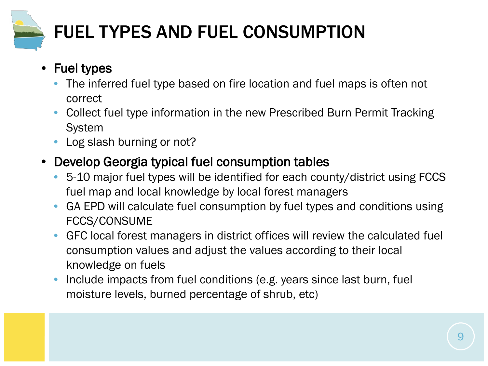

## FUEL TYPES AND FUEL CONSUMPTION

- Fuel types
	- The inferred fuel type based on fire location and fuel maps is often not correct
	- Collect fuel type information in the new Prescribed Burn Permit Tracking System
	- Log slash burning or not?
- Develop Georgia typical fuel consumption tables
	- 5-10 major fuel types will be identified for each county/district using FCCS fuel map and local knowledge by local forest managers
	- GA EPD will calculate fuel consumption by fuel types and conditions using FCCS/CONSUME
	- GFC local forest managers in district offices will review the calculated fuel consumption values and adjust the values according to their local knowledge on fuels
	- Include impacts from fuel conditions (e.g. years since last burn, fuel moisture levels, burned percentage of shrub, etc)